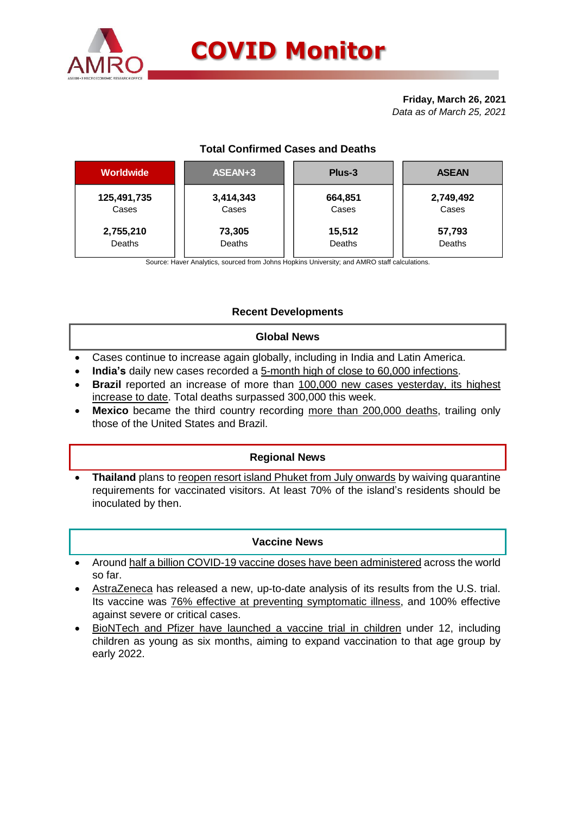

#### **Friday, March 26, 2021** *Data as of March 25, 2021*

# **Total Confirmed Cases and Deaths**

| <b>Worldwide</b> | ASEAN+3   | Plus-3  | <b>ASEAN</b> |  |  |
|------------------|-----------|---------|--------------|--|--|
| 125,491,735      | 3,414,343 | 664,851 | 2,749,492    |  |  |
| Cases            | Cases     | Cases   | Cases        |  |  |
| 2,755,210        | 73,305    | 15,512  | 57,793       |  |  |
| Deaths           | Deaths    | Deaths  | Deaths       |  |  |
|                  |           |         |              |  |  |

Source: Haver Analytics, sourced from Johns Hopkins University; and AMRO staff calculations.

# **Recent Developments**

#### **Global News**

- Cases continue to increase again globally, including in India and Latin America.
- **India's** daily new cases recorded a 5-month high of close to 60,000 infections.
- **Brazil** reported an increase of more than 100,000 new cases yesterday, its highest increase to date. Total deaths surpassed 300,000 this week.
- **Mexico** became the third country recording more than 200,000 deaths, trailing only those of the United States and Brazil.

## **Regional News**

Thailand plans to reopen resort island Phuket from July onwards by waiving quarantine requirements for vaccinated visitors. At least 70% of the island's residents should be inoculated by then.

## **Vaccine News**

- Around half a billion COVID-19 vaccine doses have been administered across the world so far.
- AstraZeneca has released a new, up-to-date analysis of its results from the U.S. trial. Its vaccine was 76% effective at preventing symptomatic illness, and 100% effective against severe or critical cases.
- BioNTech and Pfizer have launched a vaccine trial in children under 12, including children as young as six months, aiming to expand vaccination to that age group by early 2022.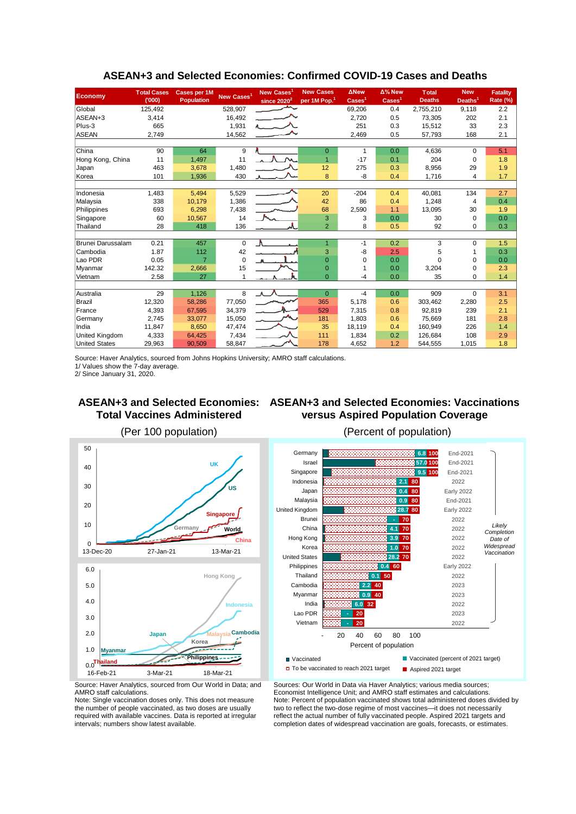| Economy               | <b>Total Cases</b><br>(000) | <b>Cases per 1M</b><br><b>Population</b> | New Cases <sup>1</sup> | New Cases <sup>1</sup><br>since $2020^2$ | <b>New Cases</b><br>per 1M Pop. <sup>1</sup> | <b>ANew</b><br>$\text{Case} \mathsf{s}^1$ | Δ% New<br>Cases <sup>1</sup> | <b>Total</b><br><b>Deaths</b> | <b>New</b><br>Deaths <sup>1</sup> | <b>Fatality</b><br>Rate (%) |
|-----------------------|-----------------------------|------------------------------------------|------------------------|------------------------------------------|----------------------------------------------|-------------------------------------------|------------------------------|-------------------------------|-----------------------------------|-----------------------------|
| Global                | 125,492                     |                                          | 528,907                |                                          |                                              | 69,206                                    | 0.4                          | 2,755,210                     | 9,118                             | 2.2                         |
| ASEAN+3               | 3,414                       |                                          | 16,492                 |                                          |                                              | 2,720                                     | 0.5                          | 73,305                        | 202                               | 2.1                         |
| Plus-3                | 665                         |                                          | 1,931                  |                                          |                                              | 251                                       | 0.3                          | 15.512                        | 33                                | 2.3                         |
| <b>ASEAN</b>          | 2,749                       |                                          | 14,562                 |                                          |                                              | 2,469                                     | 0.5                          | 57,793                        | 168                               | 2.1                         |
|                       |                             |                                          |                        |                                          |                                              |                                           |                              |                               |                                   |                             |
| China                 | 90                          | 64                                       | 9                      |                                          | $\mathbf{0}$                                 | -1                                        | 0.0                          | 4,636                         | $\Omega$                          | 5.1                         |
| Hong Kong, China      | 11                          | 1,497                                    | 11                     |                                          | $\overline{1}$                               | $-17$                                     | 0.1                          | 204                           | $\mathbf 0$                       | 1.8                         |
| Japan                 | 463                         | 3,678                                    | 1,480                  |                                          | 12                                           | 275                                       | 0.3                          | 8,956                         | 29                                | 1.9                         |
| Korea                 | 101                         | 1,936                                    | 430                    |                                          | 8                                            | $-8$                                      | 0.4                          | 1,716                         | 4                                 | 1.7                         |
|                       |                             |                                          |                        |                                          |                                              |                                           |                              |                               |                                   |                             |
| Indonesia             | 1,483                       | 5,494                                    | 5,529                  |                                          | 20                                           | $-204$                                    | 0.4                          | 40,081                        | 134                               | 2.7                         |
| Malaysia              | 338                         | 10,179                                   | 1,386                  |                                          | 42                                           | 86                                        | 0.4                          | 1,248                         | 4                                 | 0.4                         |
| Philippines           | 693                         | 6,298                                    | 7,438                  |                                          | 68                                           | 2,590                                     | 1.1                          | 13,095                        | 30                                | 1.9                         |
| Singapore             | 60                          | 10,567                                   | 14                     |                                          | 3                                            | 3                                         | 0.0                          | 30                            | $\mathbf 0$                       | 0.0                         |
| Thailand              | 28                          | 418                                      | 136                    |                                          | $\overline{2}$                               | 8                                         | 0.5                          | 92                            | $\Omega$                          | 0.3                         |
|                       |                             |                                          |                        |                                          |                                              |                                           |                              |                               |                                   |                             |
| Brunei Darussalam     | 0.21                        | 457                                      | $\mathbf 0$            | Λ                                        | 1                                            | -1                                        | 0.2                          | 3                             | $\mathbf 0$                       | 1.5                         |
| Cambodia              | 1.87                        | 112                                      | 42                     |                                          | 3                                            | $-8$                                      | 2.5                          | 5                             |                                   | 0.3                         |
| Lao PDR               | 0.05                        | $\overline{7}$                           | $\mathbf 0$            |                                          | $\overline{0}$                               | $\Omega$                                  | 0.0                          | O                             | $\Omega$                          | 0.0                         |
| Myanmar               | 142.32                      | 2,666                                    | 15                     |                                          | $\mathbf 0$                                  |                                           | 0.0                          | 3,204                         | $\Omega$                          | 2.3                         |
| Vietnam               | 2.58                        | 27                                       | 1                      |                                          | $\overline{0}$                               | $-4$                                      | 0.0                          | 35                            | $\mathbf 0$                       | 1.4                         |
|                       |                             |                                          |                        |                                          |                                              |                                           |                              |                               |                                   |                             |
| Australia             | 29                          | 1,126                                    | 8                      | $\Lambda$                                | $\overline{0}$                               | $-4$                                      | 0.0                          | 909                           | $\Omega$                          | 3.1                         |
| Brazil                | 12,320                      | 58,286                                   | 77,050                 |                                          | 365                                          | 5,178                                     | 0.6                          | 303,462                       | 2,280                             | 2.5                         |
| France                | 4,393                       | 67,595                                   | 34,379                 |                                          | 529                                          | 7,315                                     | 0.8                          | 92,819                        | 239                               | 2.1                         |
| Germany               | 2.745                       | 33,077                                   | 15,050                 |                                          | 181                                          | 1.803                                     | 0.6                          | 75.669                        | 181                               | 2.8                         |
| India                 | 11,847                      | 8,650                                    | 47,474                 |                                          | 35                                           | 18,119                                    | 0.4                          | 160,949                       | 226                               | 1.4                         |
| <b>United Kingdom</b> | 4,333                       | 64,425                                   | 7,434                  |                                          | 111                                          | 1,834                                     | 0.2                          | 126.684                       | 108                               | 2.9                         |
| <b>United States</b>  | 29,963                      | 90,509                                   | 58,847                 |                                          | 178                                          | 4,652                                     | 1.2                          | 544,555                       | 1,015                             | 1.8                         |

## **ASEAN+3 and Selected Economies: Confirmed COVID-19 Cases and Deaths**

Source: Haver Analytics, sourced from Johns Hopkins University; AMRO staff calculations.

1/ Values show the 7-day average.

2/ Since January 31, 2020.

#### **ASEAN+3 and Selected Economies: ASEAN+3 and Selected Economies: Vaccinations Total Vaccines Administered versus Aspired Population Coverage**





Source: Haver Analytics, sourced from Our World in Data; and AMRO staff calculations.

Note: Single vaccination doses only. This does not measure the number of people vaccinated, as two doses are usually required with available vaccines. Data is reported at irregular intervals; numbers show latest available.

Sources: Our World in Data via Haver Analytics; various media sources; Economist Intelligence Unit; and AMRO staff estimates and calculations. Note: Percent of population vaccinated shows total administered doses divided by two to reflect the two-dose regime of most vaccines—it does not necessarily reflect the actual number of fully vaccinated people. Aspired 2021 targets and completion dates of widespread vaccination are goals, forecasts, or estimates.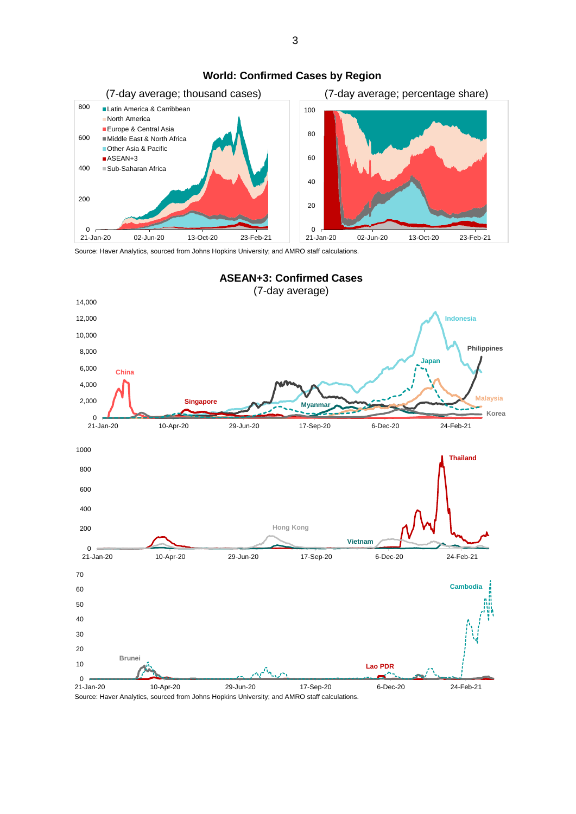

#### **World: Confirmed Cases by Region**

Source: Haver Analytics, sourced from Johns Hopkins University; and AMRO staff calculations.



Source: Haver Analytics, sourced from Johns Hopkins University; and AMRO staff calculations.